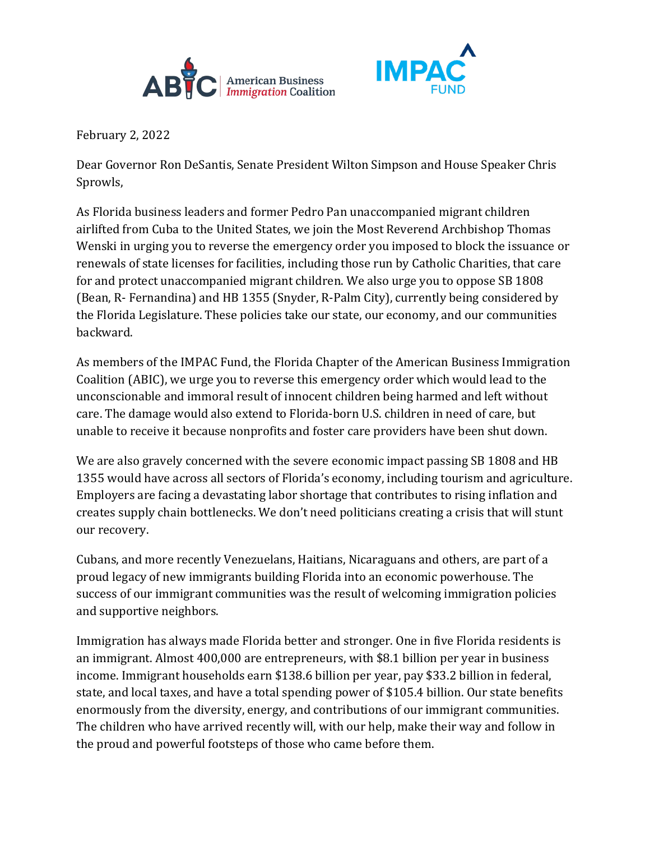



February 2, 2022

Dear Governor Ron DeSantis, Senate President Wilton Simpson and House Speaker Chris Sprowls,

As Florida business leaders and former Pedro Pan unaccompanied migrant children airlifted from Cuba to the United States, we join the Most Reverend Archbishop Thomas Wenski in urging you to reverse the emergency order you imposed to block the issuance or renewals of state licenses for facilities, including those run by Catholic Charities, that care for and protect unaccompanied migrant children. We also urge you to oppose SB 1808 (Bean, R- Fernandina) and HB 1355 (Snyder, R-Palm City), currently being considered by the Florida Legislature. These policies take our state, our economy, and our communities backward.

As members of the IMPAC Fund, the Florida Chapter of the American Business Immigration Coalition (ABIC), we urge you to reverse this emergency order which would lead to the unconscionable and immoral result of innocent children being harmed and left without care. The damage would also extend to Florida-born U.S. children in need of care, but unable to receive it because nonprofits and foster care providers have been shut down.

We are also gravely concerned with the severe economic impact passing SB 1808 and HB 1355 would have across all sectors of Florida's economy, including tourism and agriculture. Employers are facing a devastating labor shortage that contributes to rising inflation and creates supply chain bottlenecks. We don't need politicians creating a crisis that will stunt our recovery.

Cubans, and more recently Venezuelans, Haitians, Nicaraguans and others, are part of a proud legacy of new immigrants building Florida into an economic powerhouse. The success of our immigrant communities was the result of welcoming immigration policies and supportive neighbors.

Immigration has always made Florida better and stronger. One in five Florida residents is an immigrant. Almost 400,000 are entrepreneurs, with \$8.1 billion per year in business income. Immigrant households earn \$138.6 billion per year, pay \$33.2 billion in federal, state, and local taxes, and have a total spending power of \$105.4 billion. Our state benefits enormously from the diversity, energy, and contributions of our immigrant communities. The children who have arrived recently will, with our help, make their way and follow in the proud and powerful footsteps of those who came before them.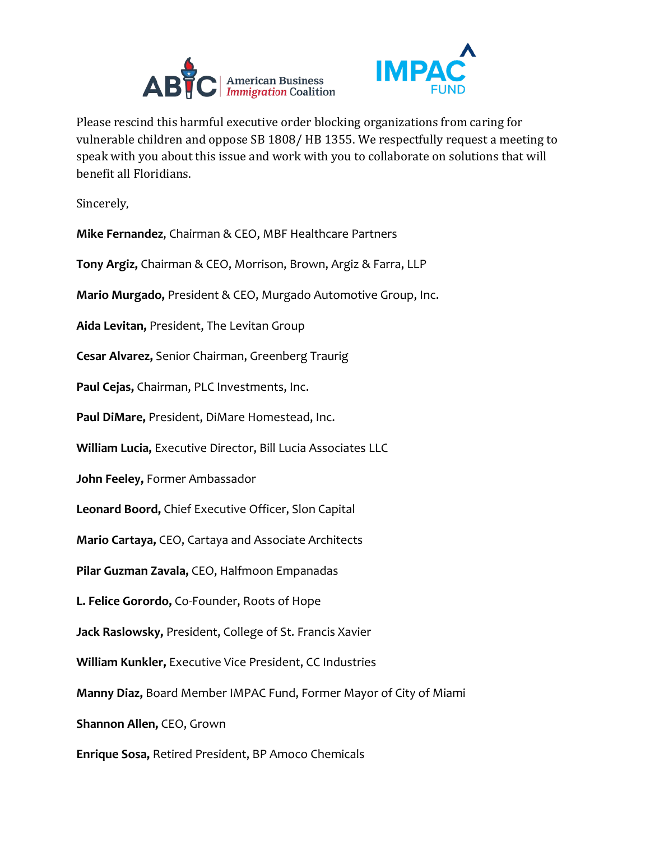



Please rescind this harmful executive order blocking organizations from caring for vulnerable children and oppose SB 1808/ HB 1355. We respectfully request a meeting to speak with you about this issue and work with you to collaborate on solutions that will benefit all Floridians.

Sincerely,

**Mike Fernandez**, Chairman & CEO, MBF Healthcare Partners

**Tony Argiz,** Chairman & CEO, Morrison, Brown, Argiz & Farra, LLP

**Mario Murgado,** President & CEO, Murgado Automotive Group, Inc.

**Aida Levitan,** President, The Levitan Group

**Cesar Alvarez,** Senior Chairman, Greenberg Traurig

**Paul Cejas,** Chairman, PLC Investments, Inc.

**Paul DiMare,** President, DiMare Homestead, Inc.

**William Lucia,** Executive Director, Bill Lucia Associates LLC

**John Feeley,** Former Ambassador

**Leonard Boord,** Chief Executive Officer, Slon Capital

**Mario Cartaya,** CEO, Cartaya and Associate Architects

**Pilar Guzman Zavala,** CEO, Halfmoon Empanadas

**L. Felice Gorordo,** Co-Founder, Roots of Hope

**Jack Raslowsky,** President, College of St. Francis Xavier

**William Kunkler,** Executive Vice President, CC Industries

**Manny Diaz,** Board Member IMPAC Fund, Former Mayor of City of Miami

**Shannon Allen,** CEO, Grown

**Enrique Sosa,** Retired President, BP Amoco Chemicals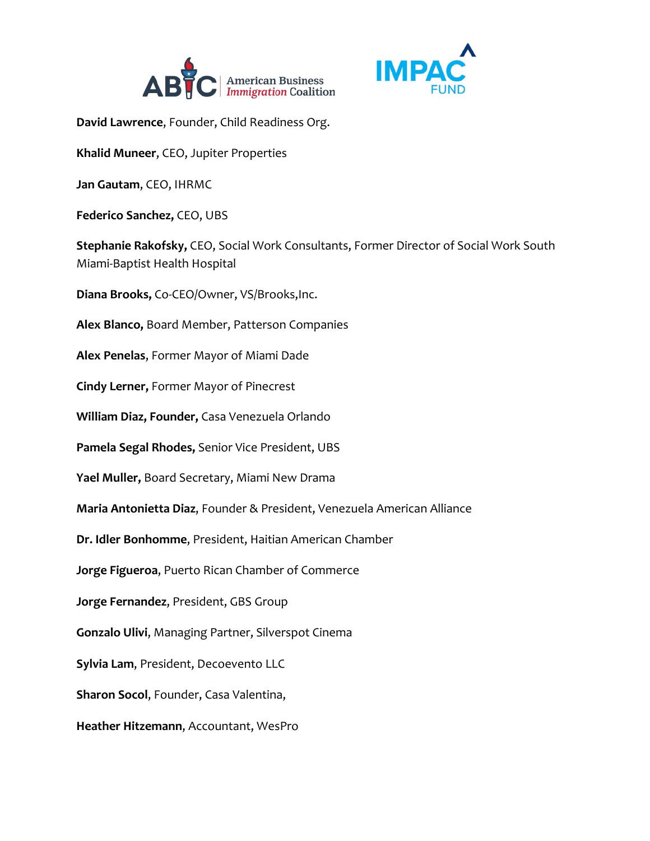



**David Lawrence**, Founder, Child Readiness Org.

**Khalid Muneer**, CEO, Jupiter Properties

**Jan Gautam**, CEO, IHRMC

**Federico Sanchez,** CEO, UBS

**Stephanie Rakofsky,** CEO, Social Work Consultants, Former Director of Social Work South Miami-Baptist Health Hospital

**Diana Brooks,** Co-CEO/Owner, VS/Brooks,Inc.

**Alex Blanco,** Board Member, Patterson Companies

**Alex Penelas**, Former Mayor of Miami Dade

**Cindy Lerner,** Former Mayor of Pinecrest

**William Diaz, Founder,** Casa Venezuela Orlando

**Pamela Segal Rhodes,** Senior Vice President, UBS

**Yael Muller,** Board Secretary, Miami New Drama

**Maria Antonietta Diaz**, Founder & President, Venezuela American Alliance

**Dr. Idler Bonhomme**, President, Haitian American Chamber

**Jorge Figueroa**, Puerto Rican Chamber of Commerce

**Jorge Fernandez**, President, GBS Group

**Gonzalo Ulivi**, Managing Partner, Silverspot Cinema

**Sylvia Lam**, President, Decoevento LLC

**Sharon Socol**, Founder, Casa Valentina,

**Heather Hitzemann**, Accountant, WesPro